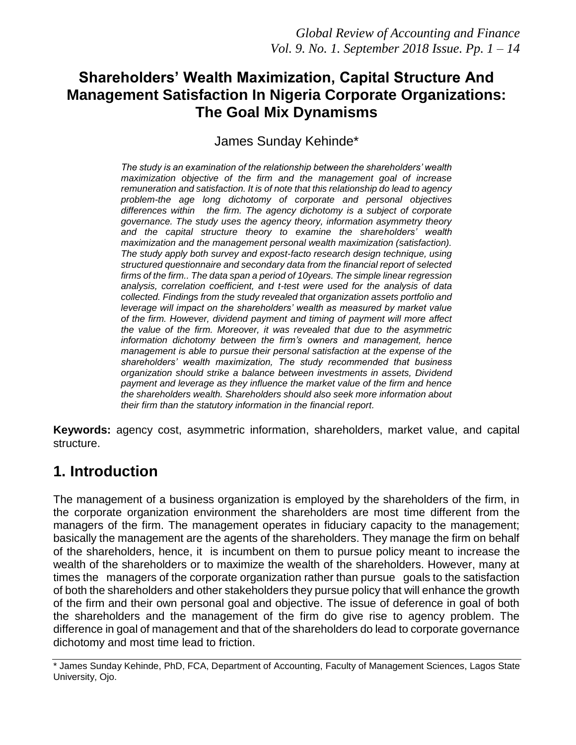# **Shareholders' Wealth Maximization, Capital Structure And Management Satisfaction In Nigeria Corporate Organizations: The Goal Mix Dynamisms**

James Sunday Kehinde\*

*The study is an examination of the relationship between the shareholders' wealth maximization objective of the firm and the management goal of increase remuneration and satisfaction. It is of note that this relationship do lead to agency problem-the age long dichotomy of corporate and personal objectives differences within the firm. The agency dichotomy is a subject of corporate governance. The study uses the agency theory, information asymmetry theory and the capital structure theory to examine the shareholders' wealth maximization and the management personal wealth maximization (satisfaction). The study apply both survey and expost-facto research design technique, using structured questionnaire and secondary data from the financial report of selected firms of the firm.. The data span a period of 10years. The simple linear regression analysis, correlation coefficient, and t-test were used for the analysis of data collected. Findings from the study revealed that organization assets portfolio and leverage will impact on the shareholders' wealth as measured by market value of the firm. However, dividend payment and timing of payment will more affect the value of the firm. Moreover, it was revealed that due to the asymmetric information dichotomy between the firm's owners and management, hence management is able to pursue their personal satisfaction at the expense of the shareholders' wealth maximization, The study recommended that business organization should strike a balance between investments in assets, Dividend payment and leverage as they influence the market value of the firm and hence the shareholders wealth. Shareholders should also seek more information about their firm than the statutory information in the financial report.*

**Keywords:** agency cost, asymmetric information, shareholders, market value, and capital structure.

# **1. Introduction**

The management of a business organization is employed by the shareholders of the firm, in the corporate organization environment the shareholders are most time different from the managers of the firm. The management operates in fiduciary capacity to the management; basically the management are the agents of the shareholders. They manage the firm on behalf of the shareholders, hence, it is incumbent on them to pursue policy meant to increase the wealth of the shareholders or to maximize the wealth of the shareholders. However, many at times the managers of the corporate organization rather than pursue goals to the satisfaction of both the shareholders and other stakeholders they pursue policy that will enhance the growth of the firm and their own personal goal and objective. The issue of deference in goal of both the shareholders and the management of the firm do give rise to agency problem. The difference in goal of management and that of the shareholders do lead to corporate governance dichotomy and most time lead to friction.

<sup>\*</sup> James Sunday Kehinde, PhD, FCA, Department of Accounting, Faculty of Management Sciences, Lagos State University, Ojo.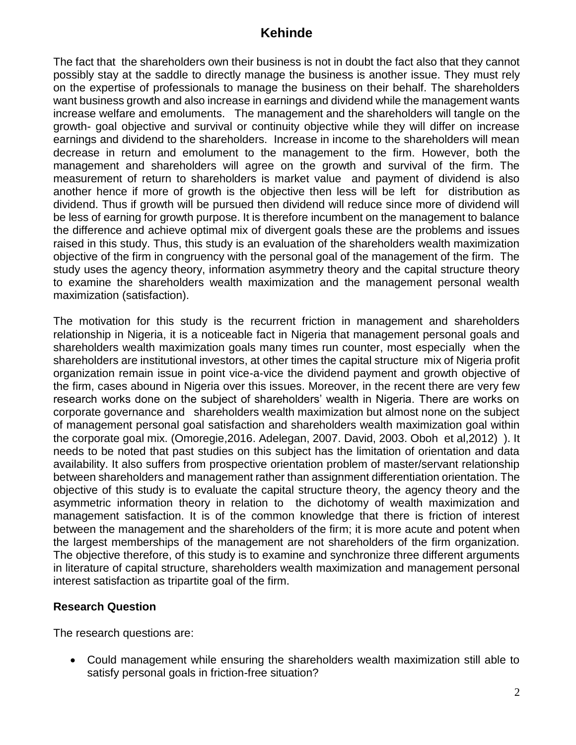The fact that the shareholders own their business is not in doubt the fact also that they cannot possibly stay at the saddle to directly manage the business is another issue. They must rely on the expertise of professionals to manage the business on their behalf. The shareholders want business growth and also increase in earnings and dividend while the management wants increase welfare and emoluments. The management and the shareholders will tangle on the growth- goal objective and survival or continuity objective while they will differ on increase earnings and dividend to the shareholders. Increase in income to the shareholders will mean decrease in return and emolument to the management to the firm. However, both the management and shareholders will agree on the growth and survival of the firm. The measurement of return to shareholders is market value and payment of dividend is also another hence if more of growth is the objective then less will be left for distribution as dividend. Thus if growth will be pursued then dividend will reduce since more of dividend will be less of earning for growth purpose. It is therefore incumbent on the management to balance the difference and achieve optimal mix of divergent goals these are the problems and issues raised in this study. Thus, this study is an evaluation of the shareholders wealth maximization objective of the firm in congruency with the personal goal of the management of the firm. The study uses the agency theory, information asymmetry theory and the capital structure theory to examine the shareholders wealth maximization and the management personal wealth maximization (satisfaction).

The motivation for this study is the recurrent friction in management and shareholders relationship in Nigeria, it is a noticeable fact in Nigeria that management personal goals and shareholders wealth maximization goals many times run counter, most especially when the shareholders are institutional investors, at other times the capital structure mix of Nigeria profit organization remain issue in point vice-a-vice the dividend payment and growth objective of the firm, cases abound in Nigeria over this issues. Moreover, in the recent there are very few research works done on the subject of shareholders' wealth in Nigeria. There are works on corporate governance and shareholders wealth maximization but almost none on the subject of management personal goal satisfaction and shareholders wealth maximization goal within the corporate goal mix. (Omoregie,2016. Adelegan, 2007. David, 2003. Oboh et al,2012) ). It needs to be noted that past studies on this subject has the limitation of orientation and data availability. It also suffers from prospective orientation problem of master/servant relationship between shareholders and management rather than assignment differentiation orientation. The objective of this study is to evaluate the capital structure theory, the agency theory and the asymmetric information theory in relation to the dichotomy of wealth maximization and management satisfaction. It is of the common knowledge that there is friction of interest between the management and the shareholders of the firm; it is more acute and potent when the largest memberships of the management are not shareholders of the firm organization. The objective therefore, of this study is to examine and synchronize three different arguments in literature of capital structure, shareholders wealth maximization and management personal interest satisfaction as tripartite goal of the firm.

#### **Research Question**

The research questions are:

• Could management while ensuring the shareholders wealth maximization still able to satisfy personal goals in friction-free situation?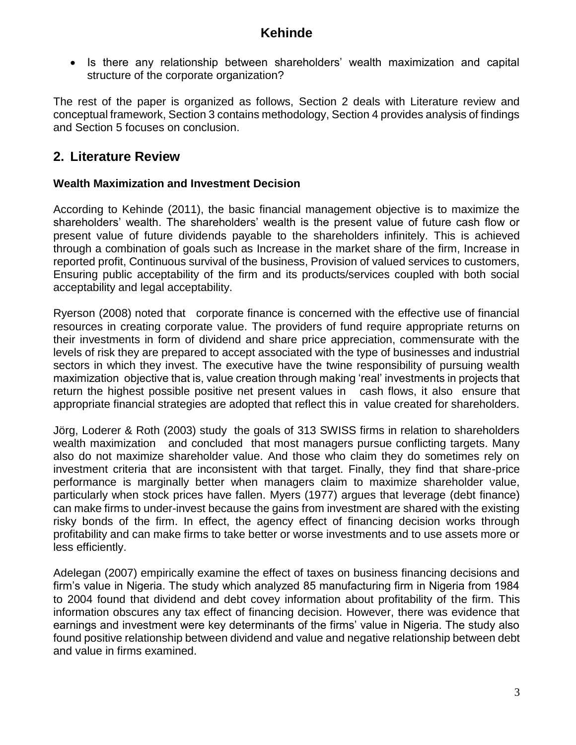• Is there any relationship between shareholders' wealth maximization and capital structure of the corporate organization?

The rest of the paper is organized as follows, Section 2 deals with Literature review and conceptual framework, Section 3 contains methodology, Section 4 provides analysis of findings and Section 5 focuses on conclusion.

# **2. Literature Review**

### **Wealth Maximization and Investment Decision**

According to Kehinde (2011), the basic financial management objective is to maximize the shareholders' wealth. The shareholders' wealth is the present value of future cash flow or present value of future dividends payable to the shareholders infinitely. This is achieved through a combination of goals such as Increase in the market share of the firm, Increase in reported profit, Continuous survival of the business, Provision of valued services to customers, Ensuring public acceptability of the firm and its products/services coupled with both social acceptability and legal acceptability.

Ryerson (2008) noted that corporate finance is concerned with the effective use of financial resources in creating corporate value. The providers of fund require appropriate returns on their investments in form of dividend and share price appreciation, commensurate with the levels of risk they are prepared to accept associated with the type of businesses and industrial sectors in which they invest. The executive have the twine responsibility of pursuing wealth maximization objective that is, value creation through making 'real' investments in projects that return the highest possible positive net present values in cash flows, it also ensure that appropriate financial strategies are adopted that reflect this in value created for shareholders.

Jörg, Loderer & Roth (2003) study the goals of 313 SWISS firms in relation to shareholders wealth maximization and concluded that most managers pursue conflicting targets. Many also do not maximize shareholder value. And those who claim they do sometimes rely on investment criteria that are inconsistent with that target. Finally, they find that share-price performance is marginally better when managers claim to maximize shareholder value, particularly when stock prices have fallen. Myers (1977) argues that leverage (debt finance) can make firms to under-invest because the gains from investment are shared with the existing risky bonds of the firm. In effect, the agency effect of financing decision works through profitability and can make firms to take better or worse investments and to use assets more or less efficiently.

Adelegan (2007) empirically examine the effect of taxes on business financing decisions and firm's value in Nigeria. The study which analyzed 85 manufacturing firm in Nigeria from 1984 to 2004 found that dividend and debt covey information about profitability of the firm. This information obscures any tax effect of financing decision. However, there was evidence that earnings and investment were key determinants of the firms' value in Nigeria. The study also found positive relationship between dividend and value and negative relationship between debt and value in firms examined.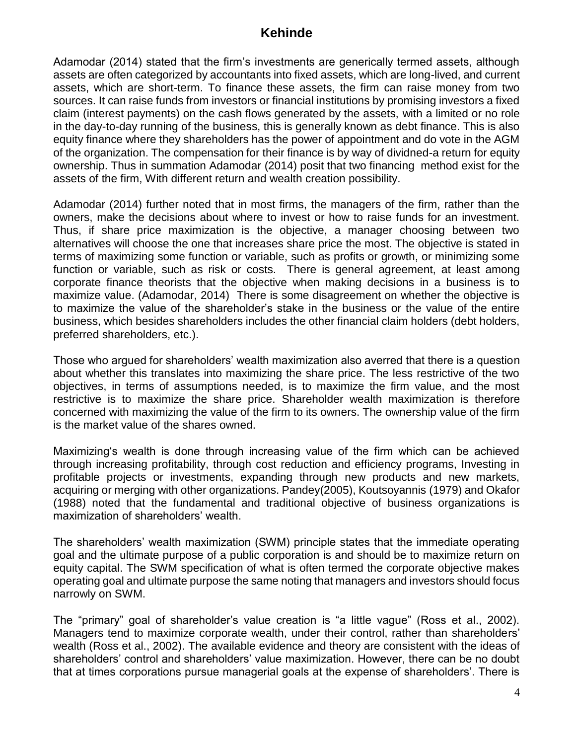Adamodar (2014) stated that the firm's investments are generically termed assets, although assets are often categorized by accountants into fixed assets, which are long-lived, and current assets, which are short-term. To finance these assets, the firm can raise money from two sources. It can raise funds from investors or financial institutions by promising investors a fixed claim (interest payments) on the cash flows generated by the assets, with a limited or no role in the day-to-day running of the business, this is generally known as debt finance. This is also equity finance where they shareholders has the power of appointment and do vote in the AGM of the organization. The compensation for their finance is by way of dividned-a return for equity ownership. Thus in summation Adamodar (2014) posit that two financing method exist for the assets of the firm, With different return and wealth creation possibility.

Adamodar (2014) further noted that in most firms, the managers of the firm, rather than the owners, make the decisions about where to invest or how to raise funds for an investment. Thus, if share price maximization is the objective, a manager choosing between two alternatives will choose the one that increases share price the most. The objective is stated in terms of maximizing some function or variable, such as profits or growth, or minimizing some function or variable, such as risk or costs. There is general agreement, at least among corporate finance theorists that the objective when making decisions in a business is to maximize value. (Adamodar, 2014) There is some disagreement on whether the objective is to maximize the value of the shareholder's stake in the business or the value of the entire business, which besides shareholders includes the other financial claim holders (debt holders, preferred shareholders, etc.).

Those who argued for shareholders' wealth maximization also averred that there is a question about whether this translates into maximizing the share price. The less restrictive of the two objectives, in terms of assumptions needed, is to maximize the firm value, and the most restrictive is to maximize the share price. Shareholder wealth maximization is therefore concerned with maximizing the value of the firm to its owners. The ownership value of the firm is the market value of the shares owned.

Maximizing's wealth is done through increasing value of the firm which can be achieved through increasing profitability, through cost reduction and efficiency programs, Investing in profitable projects or investments, expanding through new products and new markets, acquiring or merging with other organizations. Pandey(2005), Koutsoyannis (1979) and Okafor (1988) noted that the fundamental and traditional objective of business organizations is maximization of shareholders' wealth.

The shareholders' wealth maximization (SWM) principle states that the immediate operating goal and the ultimate purpose of a public corporation is and should be to maximize return on equity capital. The SWM specification of what is often termed the corporate objective makes operating goal and ultimate purpose the same noting that managers and investors should focus narrowly on SWM.

The "primary" goal of shareholder's value creation is "a little vague" (Ross et al., 2002). Managers tend to maximize corporate wealth, under their control, rather than shareholders' wealth (Ross et al., 2002). The available evidence and theory are consistent with the ideas of shareholders' control and shareholders' value maximization. However, there can be no doubt that at times corporations pursue managerial goals at the expense of shareholders'. There is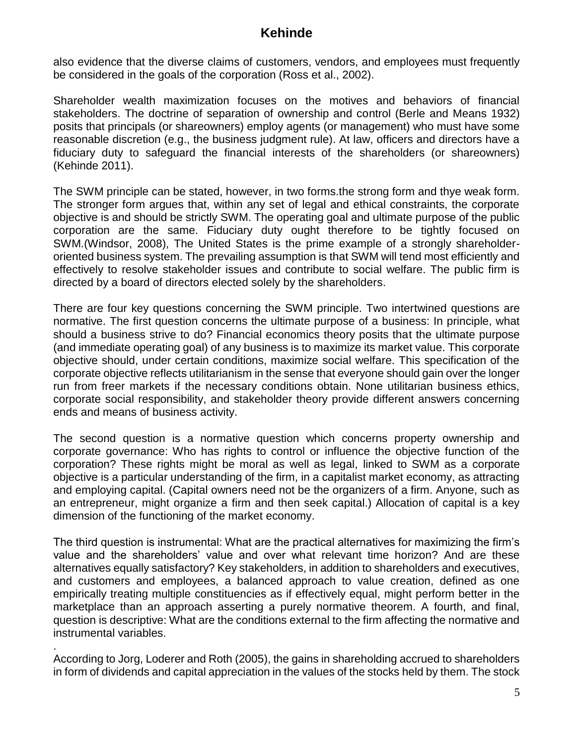also evidence that the diverse claims of customers, vendors, and employees must frequently be considered in the goals of the corporation (Ross et al., 2002).

Shareholder wealth maximization focuses on the motives and behaviors of financial stakeholders. The doctrine of separation of ownership and control (Berle and Means 1932) posits that principals (or shareowners) employ agents (or management) who must have some reasonable discretion (e.g., the business judgment rule). At law, officers and directors have a fiduciary duty to safeguard the financial interests of the shareholders (or shareowners) (Kehinde 2011).

The SWM principle can be stated, however, in two forms.the strong form and thye weak form. The stronger form argues that, within any set of legal and ethical constraints, the corporate objective is and should be strictly SWM. The operating goal and ultimate purpose of the public corporation are the same. Fiduciary duty ought therefore to be tightly focused on SWM.(Windsor, 2008), The United States is the prime example of a strongly shareholderoriented business system. The prevailing assumption is that SWM will tend most efficiently and effectively to resolve stakeholder issues and contribute to social welfare. The public firm is directed by a board of directors elected solely by the shareholders.

There are four key questions concerning the SWM principle. Two intertwined questions are normative. The first question concerns the ultimate purpose of a business: In principle, what should a business strive to do? Financial economics theory posits that the ultimate purpose (and immediate operating goal) of any business is to maximize its market value. This corporate objective should, under certain conditions, maximize social welfare. This specification of the corporate objective reflects utilitarianism in the sense that everyone should gain over the longer run from freer markets if the necessary conditions obtain. None utilitarian business ethics, corporate social responsibility, and stakeholder theory provide different answers concerning ends and means of business activity.

The second question is a normative question which concerns property ownership and corporate governance: Who has rights to control or influence the objective function of the corporation? These rights might be moral as well as legal, linked to SWM as a corporate objective is a particular understanding of the firm, in a capitalist market economy, as attracting and employing capital. (Capital owners need not be the organizers of a firm. Anyone, such as an entrepreneur, might organize a firm and then seek capital.) Allocation of capital is a key dimension of the functioning of the market economy.

The third question is instrumental: What are the practical alternatives for maximizing the firm's value and the shareholders' value and over what relevant time horizon? And are these alternatives equally satisfactory? Key stakeholders, in addition to shareholders and executives, and customers and employees, a balanced approach to value creation, defined as one empirically treating multiple constituencies as if effectively equal, might perform better in the marketplace than an approach asserting a purely normative theorem. A fourth, and final, question is descriptive: What are the conditions external to the firm affecting the normative and instrumental variables.

. According to Jorg, Loderer and Roth (2005), the gains in shareholding accrued to shareholders in form of dividends and capital appreciation in the values of the stocks held by them. The stock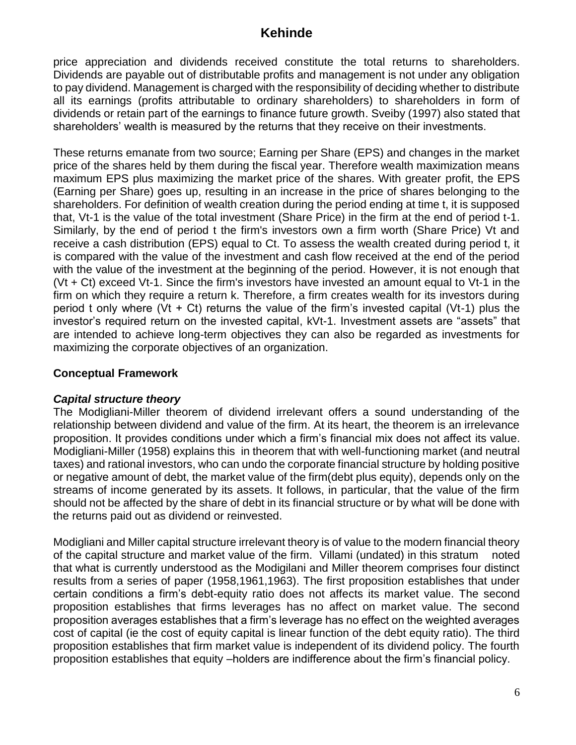price appreciation and dividends received constitute the total returns to shareholders. Dividends are payable out of distributable profits and management is not under any obligation to pay dividend. Management is charged with the responsibility of deciding whether to distribute all its earnings (profits attributable to ordinary shareholders) to shareholders in form of dividends or retain part of the earnings to finance future growth. Sveiby (1997) also stated that shareholders' wealth is measured by the returns that they receive on their investments.

These returns emanate from two source; Earning per Share (EPS) and changes in the market price of the shares held by them during the fiscal year. Therefore wealth maximization means maximum EPS plus maximizing the market price of the shares. With greater profit, the EPS (Earning per Share) goes up, resulting in an increase in the price of shares belonging to the shareholders. For definition of wealth creation during the period ending at time t, it is supposed that, Vt-1 is the value of the total investment (Share Price) in the firm at the end of period t-1. Similarly, by the end of period t the firm's investors own a firm worth (Share Price) Vt and receive a cash distribution (EPS) equal to Ct. To assess the wealth created during period t, it is compared with the value of the investment and cash flow received at the end of the period with the value of the investment at the beginning of the period. However, it is not enough that (Vt + Ct) exceed Vt-1. Since the firm's investors have invested an amount equal to Vt-1 in the firm on which they require a return k. Therefore, a firm creates wealth for its investors during period t only where (Vt + Ct) returns the value of the firm's invested capital (Vt-1) plus the investor's required return on the invested capital, kVt-1. Investment assets are "assets" that are intended to achieve long-term objectives they can also be regarded as investments for maximizing the corporate objectives of an organization.

### **Conceptual Framework**

#### *Capital structure theory*

The Modigliani-Miller theorem of dividend irrelevant offers a sound understanding of the relationship between dividend and value of the firm. At its heart, the theorem is an irrelevance proposition. It provides conditions under which a firm's financial mix does not affect its value. Modigliani-Miller (1958) explains this in theorem that with well-functioning market (and neutral taxes) and rational investors, who can undo the corporate financial structure by holding positive or negative amount of debt, the market value of the firm(debt plus equity), depends only on the streams of income generated by its assets. It follows, in particular, that the value of the firm should not be affected by the share of debt in its financial structure or by what will be done with the returns paid out as dividend or reinvested.

Modigliani and Miller capital structure irrelevant theory is of value to the modern financial theory of the capital structure and market value of the firm. Villami (undated) in this stratum noted that what is currently understood as the Modigilani and Miller theorem comprises four distinct results from a series of paper (1958,1961,1963). The first proposition establishes that under certain conditions a firm's debt-equity ratio does not affects its market value. The second proposition establishes that firms leverages has no affect on market value. The second proposition averages establishes that a firm's leverage has no effect on the weighted averages cost of capital (ie the cost of equity capital is linear function of the debt equity ratio). The third proposition establishes that firm market value is independent of its dividend policy. The fourth proposition establishes that equity –holders are indifference about the firm's financial policy.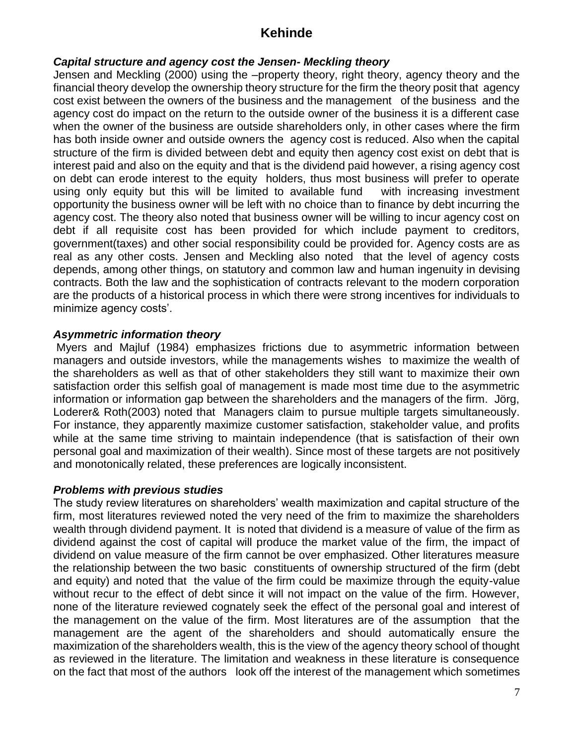#### *Capital structure and agency cost the Jensen- Meckling theory*

Jensen and Meckling (2000) using the –property theory, right theory, agency theory and the financial theory develop the ownership theory structure for the firm the theory posit that agency cost exist between the owners of the business and the management of the business and the agency cost do impact on the return to the outside owner of the business it is a different case when the owner of the business are outside shareholders only, in other cases where the firm has both inside owner and outside owners the agency cost is reduced. Also when the capital structure of the firm is divided between debt and equity then agency cost exist on debt that is interest paid and also on the equity and that is the dividend paid however, a rising agency cost on debt can erode interest to the equity holders, thus most business will prefer to operate using only equity but this will be limited to available fund with increasing investment opportunity the business owner will be left with no choice than to finance by debt incurring the agency cost. The theory also noted that business owner will be willing to incur agency cost on debt if all requisite cost has been provided for which include payment to creditors, government(taxes) and other social responsibility could be provided for. Agency costs are as real as any other costs. Jensen and Meckling also noted that the level of agency costs depends, among other things, on statutory and common law and human ingenuity in devising contracts. Both the law and the sophistication of contracts relevant to the modern corporation are the products of a historical process in which there were strong incentives for individuals to minimize agency costs'.

#### *Asymmetric information theory*

Myers and Majluf (1984) emphasizes frictions due to asymmetric information between managers and outside investors, while the managements wishes to maximize the wealth of the shareholders as well as that of other stakeholders they still want to maximize their own satisfaction order this selfish goal of management is made most time due to the asymmetric information or information gap between the shareholders and the managers of the firm. Jörg, Loderer& Roth(2003) noted that Managers claim to pursue multiple targets simultaneously. For instance, they apparently maximize customer satisfaction, stakeholder value, and profits while at the same time striving to maintain independence (that is satisfaction of their own personal goal and maximization of their wealth). Since most of these targets are not positively and monotonically related, these preferences are logically inconsistent.

#### *Problems with previous studies*

The study review literatures on shareholders' wealth maximization and capital structure of the firm, most literatures reviewed noted the very need of the frim to maximize the shareholders wealth through dividend payment. It is noted that dividend is a measure of value of the firm as dividend against the cost of capital will produce the market value of the firm, the impact of dividend on value measure of the firm cannot be over emphasized. Other literatures measure the relationship between the two basic constituents of ownership structured of the firm (debt and equity) and noted that the value of the firm could be maximize through the equity-value without recur to the effect of debt since it will not impact on the value of the firm. However, none of the literature reviewed cognately seek the effect of the personal goal and interest of the management on the value of the firm. Most literatures are of the assumption that the management are the agent of the shareholders and should automatically ensure the maximization of the shareholders wealth, this is the view of the agency theory school of thought as reviewed in the literature. The limitation and weakness in these literature is consequence on the fact that most of the authors look off the interest of the management which sometimes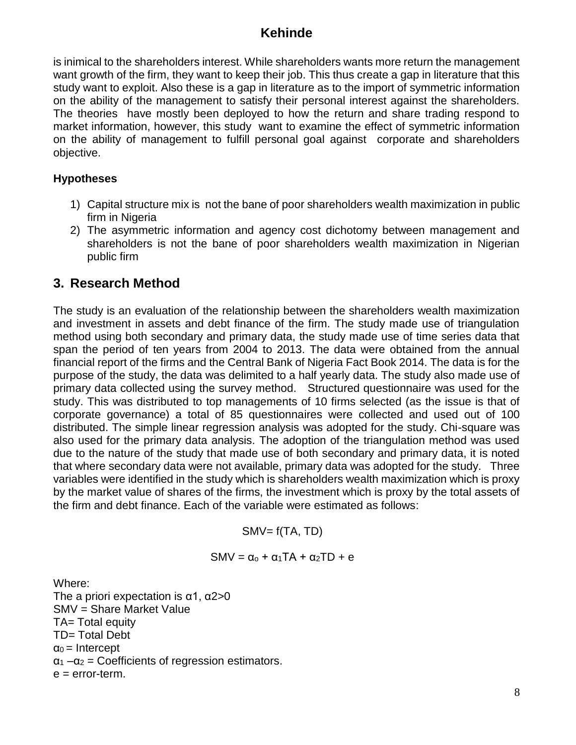is inimical to the shareholders interest. While shareholders wants more return the management want growth of the firm, they want to keep their job. This thus create a gap in literature that this study want to exploit. Also these is a gap in literature as to the import of symmetric information on the ability of the management to satisfy their personal interest against the shareholders. The theories have mostly been deployed to how the return and share trading respond to market information, however, this study want to examine the effect of symmetric information on the ability of management to fulfill personal goal against corporate and shareholders objective.

### **Hypotheses**

- 1) Capital structure mix is not the bane of poor shareholders wealth maximization in public firm in Nigeria
- 2) The asymmetric information and agency cost dichotomy between management and shareholders is not the bane of poor shareholders wealth maximization in Nigerian public firm

### **3. Research Method**

The study is an evaluation of the relationship between the shareholders wealth maximization and investment in assets and debt finance of the firm. The study made use of triangulation method using both secondary and primary data, the study made use of time series data that span the period of ten years from 2004 to 2013. The data were obtained from the annual financial report of the firms and the Central Bank of Nigeria Fact Book 2014. The data is for the purpose of the study, the data was delimited to a half yearly data. The study also made use of primary data collected using the survey method. Structured questionnaire was used for the study. This was distributed to top managements of 10 firms selected (as the issue is that of corporate governance) a total of 85 questionnaires were collected and used out of 100 distributed. The simple linear regression analysis was adopted for the study. Chi-square was also used for the primary data analysis. The adoption of the triangulation method was used due to the nature of the study that made use of both secondary and primary data, it is noted that where secondary data were not available, primary data was adopted for the study. Three variables were identified in the study which is shareholders wealth maximization which is proxy by the market value of shares of the firms, the investment which is proxy by the total assets of the firm and debt finance. Each of the variable were estimated as follows:

 $SMV = f(TA, TD)$ 

$$
SMV = \alpha_0 + \alpha_1 TA + \alpha_2 TD + e
$$

Where:

The a priori expectation is  $\alpha$ 1,  $\alpha$ 2>0 SMV = Share Market Value TA= Total equity TD= Total Debt  $\alpha_0$  = Intercept  $\alpha_1 - \alpha_2$  = Coefficients of regression estimators.  $e = error-term$ .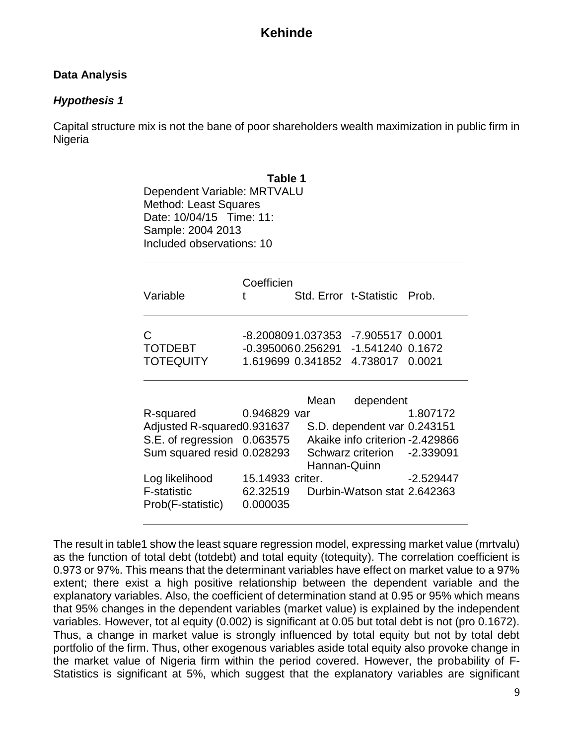#### **Data Analysis**

### *Hypothesis 1*

Capital structure mix is not the bane of poor shareholders wealth maximization in public firm in Nigeria

| Table 1<br>Dependent Variable: MRTVALU<br><b>Method: Least Squares</b><br>Date: 10/04/15 Time: 11:<br>Sample: 2004 2013<br>Included observations: 10 |                                          |                      |                                                                                                             |             |  |  |  |  |  |
|------------------------------------------------------------------------------------------------------------------------------------------------------|------------------------------------------|----------------------|-------------------------------------------------------------------------------------------------------------|-------------|--|--|--|--|--|
| Variable                                                                                                                                             | Coefficien<br>t                          |                      | Std. Error t-Statistic Prob.                                                                                |             |  |  |  |  |  |
| C<br><b>TOTDEBT</b><br><b>TOTEQUITY</b>                                                                                                              | 1.619699 0.341852                        |                      | -8.2008091.037353 -7.905517 0.0001<br>-0.3950060.256291 -1.541240 0.1672<br>4.738017 0.0021                 |             |  |  |  |  |  |
| R-squared<br>Adjusted R-squared0.931637<br>S.E. of regression 0.063575<br>Sum squared resid 0.028293                                                 | 0.946829 var                             | Mean<br>Hannan-Quinn | dependent<br>S.D. dependent var 0.243151<br>Akaike info criterion - 2.429866<br>Schwarz criterion -2.339091 | 1.807172    |  |  |  |  |  |
| Log likelihood<br><b>F-statistic</b><br>Prob(F-statistic)                                                                                            | 15.14933 criter.<br>62.32519<br>0.000035 |                      | Durbin-Watson stat 2.642363                                                                                 | $-2.529447$ |  |  |  |  |  |

The result in table1 show the least square regression model, expressing market value (mrtvalu) as the function of total debt (totdebt) and total equity (totequity). The correlation coefficient is 0.973 or 97%. This means that the determinant variables have effect on market value to a 97% extent; there exist a high positive relationship between the dependent variable and the explanatory variables. Also, the coefficient of determination stand at 0.95 or 95% which means that 95% changes in the dependent variables (market value) is explained by the independent variables. However, tot al equity (0.002) is significant at 0.05 but total debt is not (pro 0.1672). Thus, a change in market value is strongly influenced by total equity but not by total debt portfolio of the firm. Thus, other exogenous variables aside total equity also provoke change in the market value of Nigeria firm within the period covered. However, the probability of F-Statistics is significant at 5%, which suggest that the explanatory variables are significant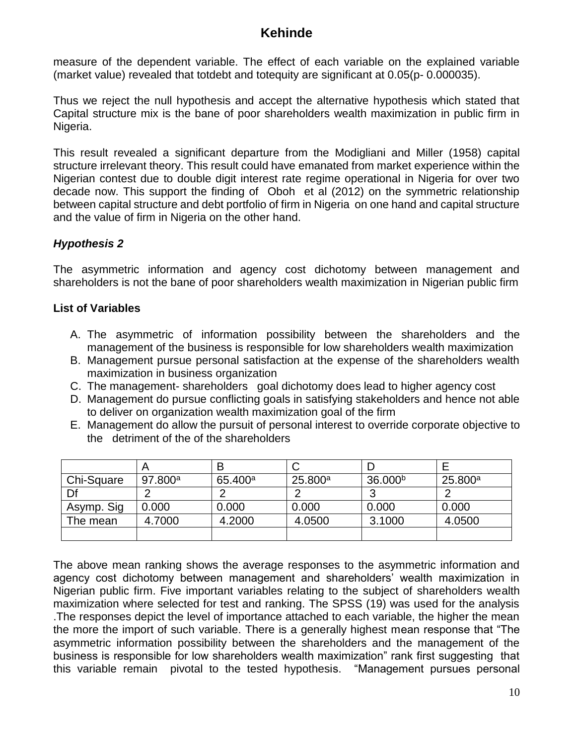measure of the dependent variable. The effect of each variable on the explained variable (market value) revealed that totdebt and totequity are significant at 0.05(p- 0.000035).

Thus we reject the null hypothesis and accept the alternative hypothesis which stated that Capital structure mix is the bane of poor shareholders wealth maximization in public firm in Nigeria.

This result revealed a significant departure from the Modigliani and Miller (1958) capital structure irrelevant theory. This result could have emanated from market experience within the Nigerian contest due to double digit interest rate regime operational in Nigeria for over two decade now. This support the finding of Oboh et al (2012) on the symmetric relationship between capital structure and debt portfolio of firm in Nigeria on one hand and capital structure and the value of firm in Nigeria on the other hand.

### *Hypothesis 2*

The asymmetric information and agency cost dichotomy between management and shareholders is not the bane of poor shareholders wealth maximization in Nigerian public firm

### **List of Variables**

- A. The asymmetric of information possibility between the shareholders and the management of the business is responsible for low shareholders wealth maximization
- B. Management pursue personal satisfaction at the expense of the shareholders wealth maximization in business organization
- C. The management- shareholders goal dichotomy does lead to higher agency cost
- D. Management do pursue conflicting goals in satisfying stakeholders and hence not able to deliver on organization wealth maximization goal of the firm
- E. Management do allow the pursuit of personal interest to override corporate objective to the detriment of the of the shareholders

|            |         | B                   |         |                     |         |
|------------|---------|---------------------|---------|---------------------|---------|
| Chi-Square | 97.800a | 65.400 <sup>a</sup> | 25.800a | 36.000 <sup>b</sup> | 25.800a |
| Df         |         |                     |         |                     |         |
| Asymp. Sig | 0.000   | 0.000               | 0.000   | 0.000               | 0.000   |
| The mean   | 4.7000  | 4.2000              | 4.0500  | 3.1000              | 4.0500  |
|            |         |                     |         |                     |         |

The above mean ranking shows the average responses to the asymmetric information and agency cost dichotomy between management and shareholders' wealth maximization in Nigerian public firm. Five important variables relating to the subject of shareholders wealth maximization where selected for test and ranking. The SPSS (19) was used for the analysis .The responses depict the level of importance attached to each variable, the higher the mean the more the import of such variable. There is a generally highest mean response that "The asymmetric information possibility between the shareholders and the management of the business is responsible for low shareholders wealth maximization" rank first suggesting that this variable remain pivotal to the tested hypothesis. "Management pursues personal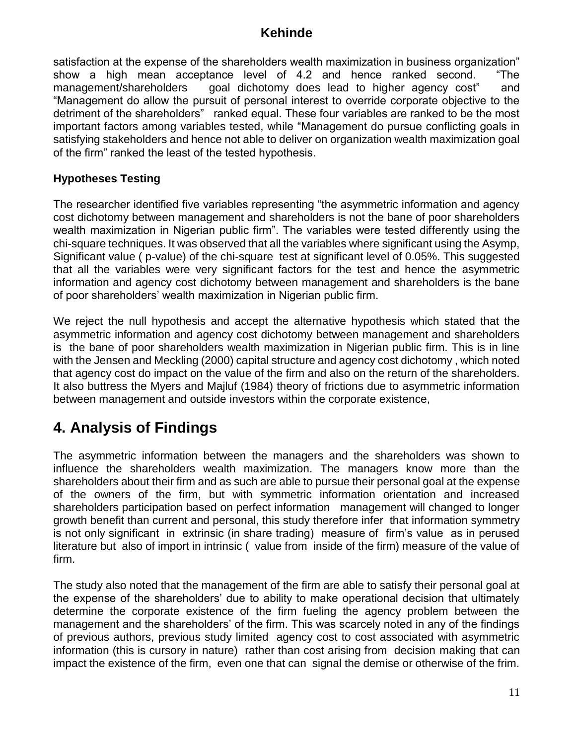satisfaction at the expense of the shareholders wealth maximization in business organization" show a high mean acceptance level of 4.2 and hence ranked second. "The management/shareholders goal dichotomy does lead to higher agency cost" and "Management do allow the pursuit of personal interest to override corporate objective to the detriment of the shareholders" ranked equal. These four variables are ranked to be the most important factors among variables tested, while "Management do pursue conflicting goals in satisfying stakeholders and hence not able to deliver on organization wealth maximization goal of the firm" ranked the least of the tested hypothesis.

### **Hypotheses Testing**

The researcher identified five variables representing "the asymmetric information and agency cost dichotomy between management and shareholders is not the bane of poor shareholders wealth maximization in Nigerian public firm". The variables were tested differently using the chi-square techniques. It was observed that all the variables where significant using the Asymp, Significant value ( p-value) of the chi-square test at significant level of 0.05%. This suggested that all the variables were very significant factors for the test and hence the asymmetric information and agency cost dichotomy between management and shareholders is the bane of poor shareholders' wealth maximization in Nigerian public firm.

We reject the null hypothesis and accept the alternative hypothesis which stated that the asymmetric information and agency cost dichotomy between management and shareholders is the bane of poor shareholders wealth maximization in Nigerian public firm. This is in line with the Jensen and Meckling (2000) capital structure and agency cost dichotomy , which noted that agency cost do impact on the value of the firm and also on the return of the shareholders. It also buttress the Myers and Majluf (1984) theory of frictions due to asymmetric information between management and outside investors within the corporate existence,

# **4. Analysis of Findings**

The asymmetric information between the managers and the shareholders was shown to influence the shareholders wealth maximization. The managers know more than the shareholders about their firm and as such are able to pursue their personal goal at the expense of the owners of the firm, but with symmetric information orientation and increased shareholders participation based on perfect information management will changed to longer growth benefit than current and personal, this study therefore infer that information symmetry is not only significant in extrinsic (in share trading) measure of firm's value as in perused literature but also of import in intrinsic ( value from inside of the firm) measure of the value of firm.

The study also noted that the management of the firm are able to satisfy their personal goal at the expense of the shareholders' due to ability to make operational decision that ultimately determine the corporate existence of the firm fueling the agency problem between the management and the shareholders' of the firm. This was scarcely noted in any of the findings of previous authors, previous study limited agency cost to cost associated with asymmetric information (this is cursory in nature) rather than cost arising from decision making that can impact the existence of the firm, even one that can signal the demise or otherwise of the frim.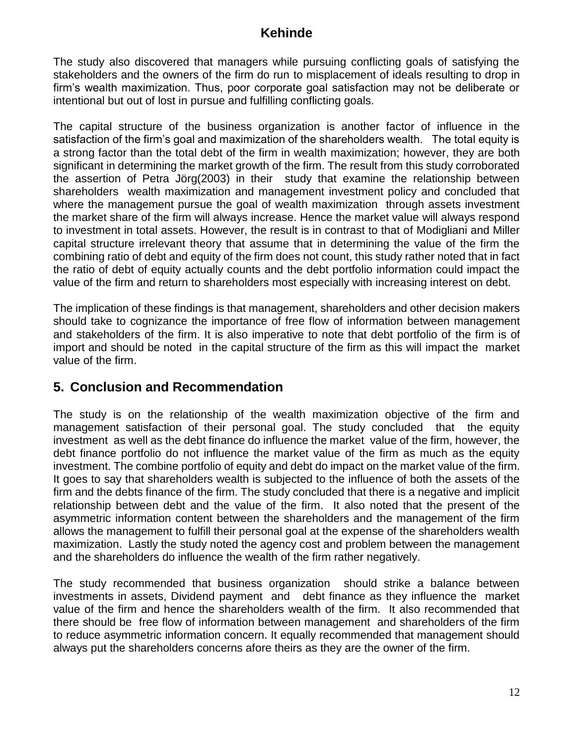The study also discovered that managers while pursuing conflicting goals of satisfying the stakeholders and the owners of the firm do run to misplacement of ideals resulting to drop in firm's wealth maximization. Thus, poor corporate goal satisfaction may not be deliberate or intentional but out of lost in pursue and fulfilling conflicting goals.

The capital structure of the business organization is another factor of influence in the satisfaction of the firm's goal and maximization of the shareholders wealth. The total equity is a strong factor than the total debt of the firm in wealth maximization; however, they are both significant in determining the market growth of the firm. The result from this study corroborated the assertion of Petra Jörg(2003) in their study that examine the relationship between shareholders wealth maximization and management investment policy and concluded that where the management pursue the goal of wealth maximization through assets investment the market share of the firm will always increase. Hence the market value will always respond to investment in total assets. However, the result is in contrast to that of Modigliani and Miller capital structure irrelevant theory that assume that in determining the value of the firm the combining ratio of debt and equity of the firm does not count, this study rather noted that in fact the ratio of debt of equity actually counts and the debt portfolio information could impact the value of the firm and return to shareholders most especially with increasing interest on debt.

The implication of these findings is that management, shareholders and other decision makers should take to cognizance the importance of free flow of information between management and stakeholders of the firm. It is also imperative to note that debt portfolio of the firm is of import and should be noted in the capital structure of the firm as this will impact the market value of the firm.

### **5. Conclusion and Recommendation**

The study is on the relationship of the wealth maximization objective of the firm and management satisfaction of their personal goal. The study concluded that the equity investment as well as the debt finance do influence the market value of the firm, however, the debt finance portfolio do not influence the market value of the firm as much as the equity investment. The combine portfolio of equity and debt do impact on the market value of the firm. It goes to say that shareholders wealth is subjected to the influence of both the assets of the firm and the debts finance of the firm. The study concluded that there is a negative and implicit relationship between debt and the value of the firm. It also noted that the present of the asymmetric information content between the shareholders and the management of the firm allows the management to fulfill their personal goal at the expense of the shareholders wealth maximization. Lastly the study noted the agency cost and problem between the management and the shareholders do influence the wealth of the firm rather negatively.

The study recommended that business organization should strike a balance between investments in assets, Dividend payment and debt finance as they influence the market value of the firm and hence the shareholders wealth of the firm. It also recommended that there should be free flow of information between management and shareholders of the firm to reduce asymmetric information concern. It equally recommended that management should always put the shareholders concerns afore theirs as they are the owner of the firm.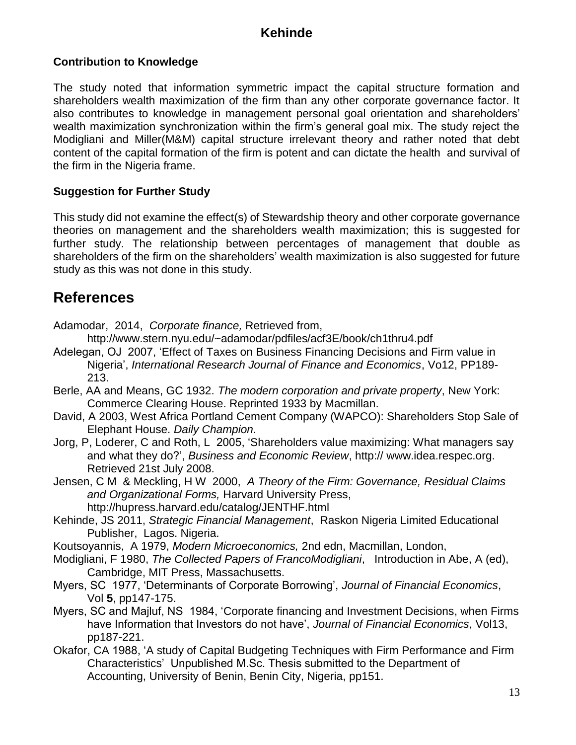### **Contribution to Knowledge**

The study noted that information symmetric impact the capital structure formation and shareholders wealth maximization of the firm than any other corporate governance factor. It also contributes to knowledge in management personal goal orientation and shareholders' wealth maximization synchronization within the firm's general goal mix. The study reject the Modigliani and Miller(M&M) capital structure irrelevant theory and rather noted that debt content of the capital formation of the firm is potent and can dictate the health and survival of the firm in the Nigeria frame.

#### **Suggestion for Further Study**

This study did not examine the effect(s) of Stewardship theory and other corporate governance theories on management and the shareholders wealth maximization; this is suggested for further study. The relationship between percentages of management that double as shareholders of the firm on the shareholders' wealth maximization is also suggested for future study as this was not done in this study.

# **References**

Adamodar, 2014, *Corporate finance,* Retrieved from,

<http://www.stern.nyu.edu/~adamodar/pdfiles/acf3E/book/ch1thru4.pdf>

- Adelegan, OJ 2007, 'Effect of Taxes on Business Financing Decisions and Firm value in Nigeria', *International Research Journal of Finance and Economics*, Vo12, PP189- 213.
- Berle, AA and Means, GC 1932. *The modern corporation and private property*, New York: Commerce Clearing House. Reprinted 1933 by Macmillan.
- David, A 2003, West Africa Portland Cement Company (WAPCO): Shareholders Stop Sale of Elephant House. *[Daily Champion.](http://www.champion.com.ng/)*
- Jorg, P, Loderer, C and Roth, L 2005, 'Shareholders value maximizing: What managers say and what they do?', *Business and Economic Review*, http:// [www.idea.respec.org.](file:///C:/Users/Rotimi/AppData/Local/Temp/www.idea.respec.org) Retrieved 21st July 2008.
- Jensen, C M & Meckling, H W 2000, *A Theory of the Firm: Governance, Residual Claims and Organizational Forms,* Harvard University Press, <http://hupress.harvard.edu/catalog/JENTHF.html>
- Kehinde, JS 2011, *Strategic Financial Management*, Raskon Nigeria Limited Educational Publisher, Lagos. Nigeria.
- Koutsoyannis, A 1979, *Modern Microeconomics,* 2nd edn, Macmillan, London,
- Modigliani, F 1980, *The Collected Papers of FrancoModigliani*, Introduction in Abe, A (ed), Cambridge, MIT Press, Massachusetts.
- Myers, SC 1977, 'Determinants of Corporate Borrowing', *Journal of Financial Economics*, Vol **5**, pp147-175.
- Myers, SC and Majluf, NS 1984, 'Corporate financing and Investment Decisions, when Firms have Information that Investors do not have', *Journal of Financial Economics*, Vol13, pp187-221.
- Okafor, CA 1988, 'A study of Capital Budgeting Techniques with Firm Performance and Firm Characteristics' Unpublished M.Sc. Thesis submitted to the Department of Accounting, University of Benin, Benin City, Nigeria, pp151.